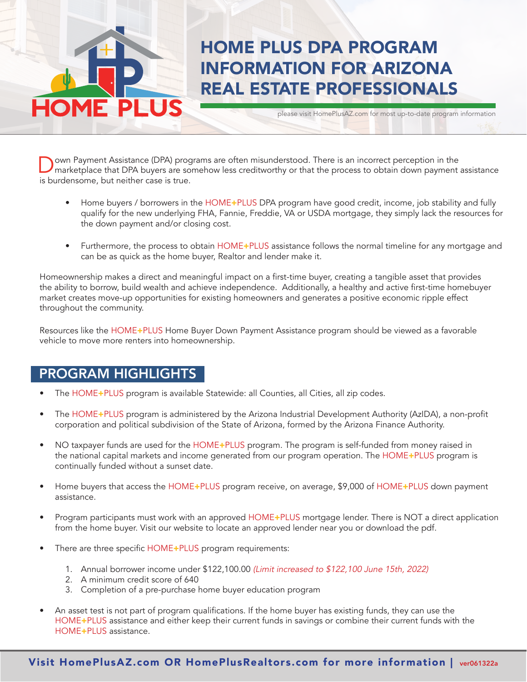# HOME PLUS DPA PROGRAM INFORMATION FOR ARIZONA REAL ESTATE PROFESSIONALS

please visit HomePlusAZ.com for most up-to-date program information

**Down Payment Assistance (DPA) programs are often misunderstood.** There is an incorrect perception in the marketplace that DPA buyers are somehow less creditworthy or that the process to obtain down payment assistance is burdensome, but neither case is true.

- Home buyers / borrowers in the HOME+PLUS DPA program have good credit, income, job stability and fully qualify for the new underlying FHA, Fannie, Freddie, VA or USDA mortgage, they simply lack the resources for the down payment and/or closing cost.
- Furthermore, the process to obtain HOME+PLUS assistance follows the normal timeline for any mortgage and can be as quick as the home buyer, Realtor and lender make it.

Homeownership makes a direct and meaningful impact on a first-time buyer, creating a tangible asset that provides the ability to borrow, build wealth and achieve independence. Additionally, a healthy and active first-time homebuyer market creates move-up opportunities for existing homeowners and generates a positive economic ripple effect throughout the community.

Resources like the HOME+PLUS Home Buyer Down Payment Assistance program should be viewed as a favorable vehicle to move more renters into homeownership.

### PROGRAM HIGHLIGHTS

F DI

- The HOME+PLUS program is available Statewide: all Counties, all Cities, all zip codes.
- The HOME+PLUS program is administered by the Arizona Industrial Development Authority (AzIDA), a non-profit corporation and political subdivision of the State of Arizona, formed by the Arizona Finance Authority.
- NO taxpayer funds are used for the HOME+PLUS program. The program is self-funded from money raised in the national capital markets and income generated from our program operation. The HOME+PLUS program is continually funded without a sunset date.
- Home buyers that access the HOME+PLUS program receive, on average, \$9,000 of HOME+PLUS down payment assistance.
- Program participants must work with an approved HOME+PLUS mortgage lender. There is NOT a direct application from the home buyer. Visit our website to locate an approved lender near you or download the pdf.
- There are three specific HOME+PLUS program requirements:
	- 1. Annual borrower income under \$122,100.00 (Limit increased to \$122,100 June 15th, 2022)
	- 2. A minimum credit score of 640
	- 3. Completion of a pre-purchase home buyer education program
- An asset test is not part of program qualifications. If the home buyer has existing funds, they can use the HOME+PLUS assistance and either keep their current funds in savings or combine their current funds with the HOME+PLUS assistance.